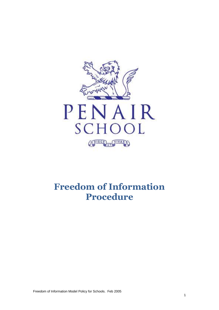

# **Freedom of Information Procedure**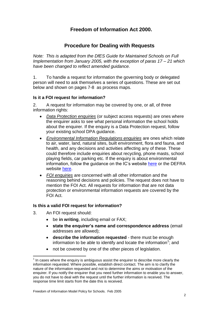## **Freedom of Information Act 2000.**

## **Procedure for Dealing with Requests**

*Note: This is adapted from the DfES Guide for Maintained Schools on Full Implementation from January 2005, with the exception of paras 17 – 21 which have been changed to reflect amended guidance.*

1. To handle a request for information the governing body or delegated person will need to ask themselves a series of questions. These are set out below and shown on pages 7-8 as process maps.

#### **Is it a FOI request for information?**

2. A request for information may be covered by one, or all, of three information rights:

- *Data Protection enquiries* (or subject access requests) are ones where the enquirer asks to see what personal information the school holds about the enquirer. If the enquiry is a Data Protection request, follow your existing school DPA guidance.
- *Environmental Information Regulations enquiries* are ones which relate to air, water, land, natural sites, built environment, flora and fauna, and health, and any decisions and activities affecting any of these. These could therefore include enquiries about recycling, phone masts, school playing fields, car parking etc. If the enquiry is about environmental information, follow the guidance on the IC's website [here](http://www.informationcommissioner.gov.uk/eventual.aspx?id=36) or the DEFRA website [here.](http://www.defra.gov.uk/environment/pubaccess/index.htm)
- *FOI enquiries* are concerned with all other information and the reasoning behind decisions and policies. The request does not have to mention the FOI Act. All requests for information that are not data protection or environmental information requests are covered by the FOI Act.

#### **Is this a valid FOI request for information?**

3. An FOI request should:

1

- be **in writing**, including email or FAX;
- **state the enquirer's name and correspondence address** (email addresses are allowed);
- **describe the information requested** there must be enough information to be able to identify and locate the information<sup>1</sup>; and
- not be covered by one of the other pieces of legislation.

 $1$  In cases where the enquiry is ambiguous assist the enquirer to describe more clearly the information requested. Where possible, establish direct contact. The aim is to clarify the nature of the information requested and not to determine the aims or motivation of the enquirer. If you notify the enquirer that you need further information to enable you to answer, you do not have to deal with the request until the further information is received. The response time limit starts from the date this is received.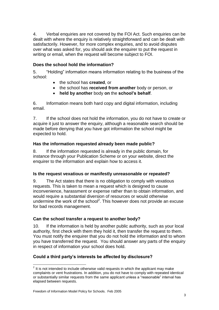4. Verbal enquiries are not covered by the FOI Act. Such enquiries can be dealt with where the enquiry is relatively straightforward and can be dealt with satisfactorily. However, for more complex enquiries, and to avoid disputes over what was asked for, you should ask the enquirer to put the request in writing or email, when the request will become subject to FOI.

## **Does the school hold the information?**

5. "Holding" information means information relating to the business of the school:

- the school has **created**, or
- the school has **received from another** body or person, or
- **held by another** body **on** the **school's behalf**.

6. Information means both hard copy and digital information, including email.

7. If the school does not hold the information, you do not have to create or acquire it just to answer the enquiry, although a reasonable search should be made before denying that you have got information the school might be expected to hold.

## **Has the information requested already been made public?**

8. If the information requested is already in the public domain, for instance through your Publication Scheme or on your website, direct the enquirer to the information and explain how to access it.

## **Is the request vexatious or manifestly unreasonable or repeated?**

9. The Act states that there is no obligation to comply with vexatious requests. This is taken to mean a request which is designed to cause inconvenience, harassment or expense rather than to obtain information, and would require a substantial diversion of resources or would otherwise undermine the work of the school<sup>2</sup>. This however does not provide an excuse for bad records management.

## **Can the school transfer a request to another body?**

10. If the information is held by another public authority, such as your local authority, first check with them they hold it, then transfer the request to them. You must notify the enquirer that you do not hold the information and to whom you have transferred the request. You should answer any parts of the enquiry in respect of information your school does hold.

## **Could a third party's interests be affected by disclosure?**

<sup>1</sup>  $2$  It is not intended to include otherwise valid requests in which the applicant may make complaints or vent frustrations. In addition, you do not have to comply with repeated identical or substantially similar requests from the same applicant unless a "reasonable" interval has elapsed between requests.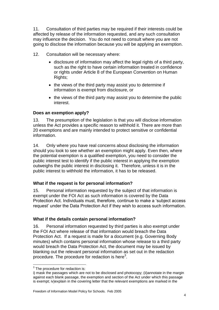11. Consultation of third parties may be required if their interests could be affected by release of the information requested, and any such consultation may influence the decision. You do not need to consult where you are not going to disclose the information because you will be applying an exemption.

- 12. Consultation will be necessary where:
	- disclosure of information may affect the legal rights of a third party, such as the right to have certain information treated in confidence or rights under Article 8 of the European Convention on Human Rights;
	- the views of the third party may assist you to determine if information is exempt from disclosure, or
	- the views of the third party may assist you to determine the public interest.

## **Does an exemption apply?**

13. The presumption of the legislation is that you will disclose information unless the Act provides a specific reason to withhold it. There are more than 20 exemptions and are mainly intended to protect sensitive or confidential information.

14. Only where you have real concerns about disclosing the information should you look to see whether an exemption might apply. Even then, where the potential exemption is a qualified exemption, you need to consider the public interest test to identify if the public interest in applying the exemption outweighs the public interest in disclosing it. Therefore, unless it is in the public interest to withhold the information, it has to be released.

## **What if the request is for personal information?**

15. Personal information requested by the subject of that information is exempt under the FOI Act as such information is covered by the Data Protection Act. Individuals must, therefore, continue to make a 'subject access request' under the Data Protection Act if they wish to access such information.

#### **What if the details contain personal information?**

16. Personal information requested by third parties is also exempt under the FOI Act where release of that information would breach the Data Protection Act. If a request is made for a document (e.g. Governing Body minutes) which contains personal information whose release to a third party would breach the Data Protection Act, the document may be issued by blanking out the relevant personal information as set out in the redaction procedure. The procedure for redaction is here $3$ .

 3 The procedure for redaction is:

i) mask the passages which are not to be disclosed and photocopy; (ii)annotate in the margin against each blank passage, the exemption and section of the Act under which this passage is exempt; iv)explain in the covering letter that the relevant exemptions are marked in the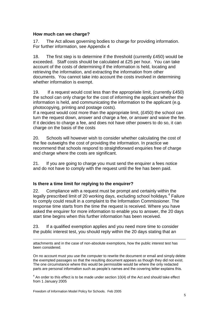#### **How much can we charge?**

17. The Act allows governing bodies to charge for providing information. For further information, see Appendix 4

18. The first step is to determine if the threshold (currently £450) would be exceeded. Staff costs should be calculated at £25 per hour. You can take account of the costs of determining if the information is held, locating and retrieving the information, and extracting the information from other documents. You cannot take into account the costs involved in determining whether information is exempt.

19. If a request would cost less than the appropriate limit, (currently £450) the school can only charge for the cost of informing the applicant whether the information is held, and communicating the information to the applicant (e.g. photocopying, printing and postage costs).

If a request would cost more than the appropriate limit, (£450) the school can turn the request down, answer and charge a fee, or answer and waive the fee. If it decides to charge a fee, and does not have other powers to do so, it can charge on the basis of the costs

20. Schools will however wish to consider whether calculating the cost of the fee outweighs the cost of providing the information. In practice we recommend that schools respond to straightforward enquiries free of charge and charge where the costs are significant.

21. If you are going to charge you must send the enquirer a fees notice and do not have to comply with the request until the fee has been paid.

#### **Is there a time limit for replying to the enquirer?**

22. Compliance with a request must be prompt and certainly within the legally prescribed limit of 20 working days, excluding school holidays.<sup>4</sup> Failure to comply could result in a complaint to the Information Commissioner. The response time starts from the time the request is received. Where you have asked the enquirer for more information to enable you to answer, the 20 days start time begins when this further information has been received.

23. If a qualified exemption applies and you need more time to consider the public interest test, you should reply within the 20 days stating that an

attachments and in the case of non-absolute exemptions, how the public interest test has been considered.

On no account must you use the computer to rewrite the document or email and simply delete the exempted passages so that the resulting document appears as though they did not exist. The one circumstance where this would be permissible would be where the only redacted parts are personal information such as people's names and the covering letter explains this.

 $4$  An order to this effect is to be made under section 10(4) of the Act and should take effect from 1 January 2005

1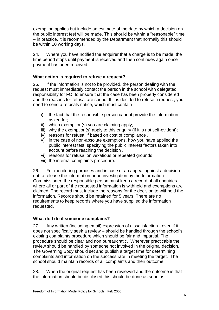exemption applies but include an estimate of the date by which a decision on the public interest test will be made. This should be within a "reasonable" time – in practice, it is recommended by the Department that normally this should be within 10 working days.

24. Where you have notified the enquirer that a charge is to be made, the time period stops until payment is received and then continues again once payment has been received.

### **What action is required to refuse a request?**

25. If the information is not to be provided, the person dealing with the request must immediately contact the person in the school with delegated responsibility for FOI to ensure that the case has been properly considered and the reasons for refusal are sound. If it is decided to refuse a request, you need to send a refusals notice, which must contain

- i) the fact that the responsible person cannot provide the information asked for;
- ii) which exemption(s) you are claiming apply;
- iii) why the exemption(s) apply to this enquiry (if it is not self-evident);
- iv) reasons for refusal if based on cost of compliance .
- v) in the case of non-absolute exemptions, how you have applied the public interest test, specifying the public interest factors taken into account before reaching the decision .
- vi) reasons for refusal on vexatious or repeated grounds
- vii) the internal complaints procedure.

26. For monitoring purposes and in case of an appeal against a decision not to release the information or an investigation by the Information Commissioner, the responsible person must keep a record of all enquiries where all or part of the requested information is withheld and exemptions are claimed. The record must include the reasons for the decision to withhold the information. Records should be retained for 5 years. There are no requirements to keep records where you have supplied the information requested.

#### **What do I do if someone complains?**

27. Any written (including email) expression of dissatisfaction - even if it does not specifically seek a review – should be handled through the school's existing complaints procedure which should be fair and impartial. The procedure should be clear and non bureaucratic. Wherever practicable the review should be handled by someone not involved in the original decision. The Governing Body should set and publish a target time for determining complaints and information on the success rate in meeting the target. The school should maintain records of all complaints and their outcome.

28. When the original request has been reviewed and the outcome is that the information should be disclosed this should be done as soon as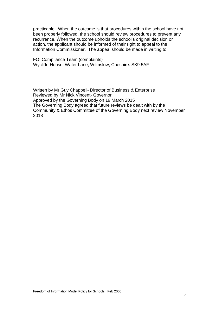practicable. When the outcome is that procedures within the school have not been properly followed, the school should review procedures to prevent any recurrence. When the outcome upholds the school's original decision or action, the applicant should be informed of their right to appeal to the Information Commissioner. The appeal should be made in writing to:

FOI Compliance Team (complaints) Wycliffe House, Water Lane, Wilmslow, Cheshire. SK9 5AF

Written by Mr Guy Chappell- Director of Business & Enterprise Reviewed by Mr Nick Vincent- Governor Approved by the Governing Body on 19 March 2015 The Governing Body agreed that future reviews be dealt with by the Community & Ethos Committee of the Governing Body next review November 2018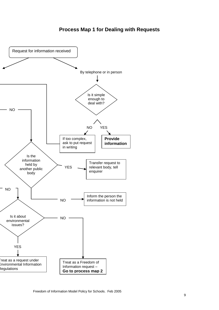## **Process Map 1 for Dealing with Requests**